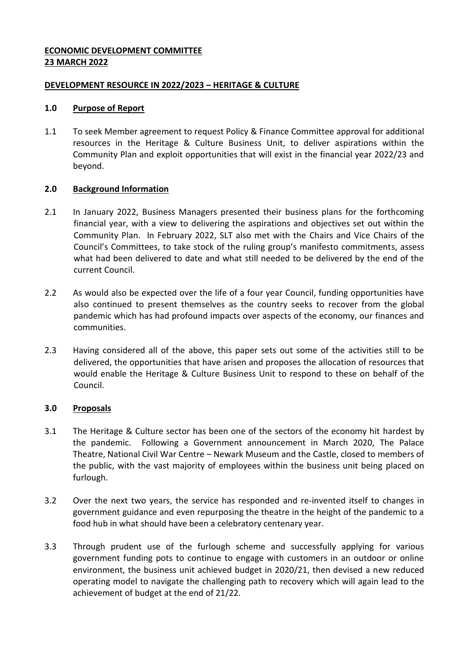### **ECONOMIC DEVELOPMENT COMMITTEE 23 MARCH 2022**

### **DEVELOPMENT RESOURCE IN 2022/2023 – HERITAGE & CULTURE**

### **1.0 Purpose of Report**

1.1 To seek Member agreement to request Policy & Finance Committee approval for additional resources in the Heritage & Culture Business Unit, to deliver aspirations within the Community Plan and exploit opportunities that will exist in the financial year 2022/23 and beyond.

### **2.0 Background Information**

- 2.1 In January 2022, Business Managers presented their business plans for the forthcoming financial year, with a view to delivering the aspirations and objectives set out within the Community Plan. In February 2022, SLT also met with the Chairs and Vice Chairs of the Council's Committees, to take stock of the ruling group's manifesto commitments, assess what had been delivered to date and what still needed to be delivered by the end of the current Council.
- 2.2 As would also be expected over the life of a four year Council, funding opportunities have also continued to present themselves as the country seeks to recover from the global pandemic which has had profound impacts over aspects of the economy, our finances and communities.
- 2.3 Having considered all of the above, this paper sets out some of the activities still to be delivered, the opportunities that have arisen and proposes the allocation of resources that would enable the Heritage & Culture Business Unit to respond to these on behalf of the Council.

### **3.0 Proposals**

- 3.1 The Heritage & Culture sector has been one of the sectors of the economy hit hardest by the pandemic. Following a Government announcement in March 2020, The Palace Theatre, National Civil War Centre – Newark Museum and the Castle, closed to members of the public, with the vast majority of employees within the business unit being placed on furlough.
- 3.2 Over the next two years, the service has responded and re-invented itself to changes in government guidance and even repurposing the theatre in the height of the pandemic to a food hub in what should have been a celebratory centenary year.
- 3.3 Through prudent use of the furlough scheme and successfully applying for various government funding pots to continue to engage with customers in an outdoor or online environment, the business unit achieved budget in 2020/21, then devised a new reduced operating model to navigate the challenging path to recovery which will again lead to the achievement of budget at the end of 21/22.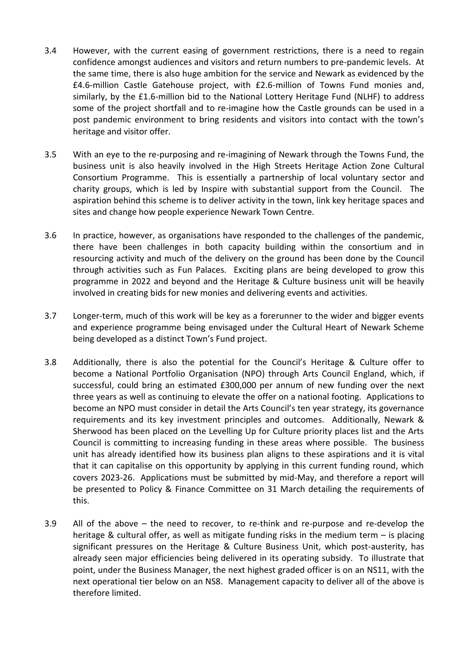- 3.4 However, with the current easing of government restrictions, there is a need to regain confidence amongst audiences and visitors and return numbers to pre-pandemic levels. At the same time, there is also huge ambition for the service and Newark as evidenced by the £4.6-million Castle Gatehouse project, with £2.6-million of Towns Fund monies and, similarly, by the £1.6-million bid to the National Lottery Heritage Fund (NLHF) to address some of the project shortfall and to re-imagine how the Castle grounds can be used in a post pandemic environment to bring residents and visitors into contact with the town's heritage and visitor offer.
- 3.5 With an eye to the re-purposing and re-imagining of Newark through the Towns Fund, the business unit is also heavily involved in the High Streets Heritage Action Zone Cultural Consortium Programme. This is essentially a partnership of local voluntary sector and charity groups, which is led by Inspire with substantial support from the Council. The aspiration behind this scheme is to deliver activity in the town, link key heritage spaces and sites and change how people experience Newark Town Centre.
- 3.6 In practice, however, as organisations have responded to the challenges of the pandemic, there have been challenges in both capacity building within the consortium and in resourcing activity and much of the delivery on the ground has been done by the Council through activities such as Fun Palaces. Exciting plans are being developed to grow this programme in 2022 and beyond and the Heritage & Culture business unit will be heavily involved in creating bids for new monies and delivering events and activities.
- 3.7 Longer-term, much of this work will be key as a forerunner to the wider and bigger events and experience programme being envisaged under the Cultural Heart of Newark Scheme being developed as a distinct Town's Fund project.
- 3.8 Additionally, there is also the potential for the Council's Heritage & Culture offer to become a National Portfolio Organisation (NPO) through Arts Council England, which, if successful, could bring an estimated £300,000 per annum of new funding over the next three years as well as continuing to elevate the offer on a national footing. Applications to become an NPO must consider in detail the Arts Council's ten year strategy, its governance requirements and its key investment principles and outcomes. Additionally, Newark & Sherwood has been placed on the Levelling Up for Culture priority places list and the Arts Council is committing to increasing funding in these areas where possible. The business unit has already identified how its business plan aligns to these aspirations and it is vital that it can capitalise on this opportunity by applying in this current funding round, which covers 2023-26. Applications must be submitted by mid-May, and therefore a report will be presented to Policy & Finance Committee on 31 March detailing the requirements of this.
- 3.9 All of the above the need to recover, to re-think and re-purpose and re-develop the heritage & cultural offer, as well as mitigate funding risks in the medium term – is placing significant pressures on the Heritage & Culture Business Unit, which post-austerity, has already seen major efficiencies being delivered in its operating subsidy. To illustrate that point, under the Business Manager, the next highest graded officer is on an NS11, with the next operational tier below on an NS8. Management capacity to deliver all of the above is therefore limited.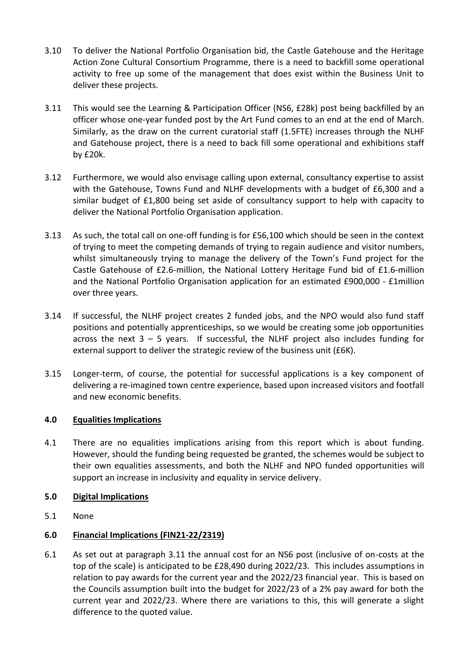- 3.10 To deliver the National Portfolio Organisation bid, the Castle Gatehouse and the Heritage Action Zone Cultural Consortium Programme, there is a need to backfill some operational activity to free up some of the management that does exist within the Business Unit to deliver these projects.
- 3.11 This would see the Learning & Participation Officer (NS6, £28k) post being backfilled by an officer whose one-year funded post by the Art Fund comes to an end at the end of March. Similarly, as the draw on the current curatorial staff (1.5FTE) increases through the NLHF and Gatehouse project, there is a need to back fill some operational and exhibitions staff by £20k.
- 3.12 Furthermore, we would also envisage calling upon external, consultancy expertise to assist with the Gatehouse, Towns Fund and NLHF developments with a budget of £6,300 and a similar budget of £1,800 being set aside of consultancy support to help with capacity to deliver the National Portfolio Organisation application.
- 3.13 As such, the total call on one-off funding is for £56,100 which should be seen in the context of trying to meet the competing demands of trying to regain audience and visitor numbers, whilst simultaneously trying to manage the delivery of the Town's Fund project for the Castle Gatehouse of £2.6-million, the National Lottery Heritage Fund bid of £1.6-million and the National Portfolio Organisation application for an estimated £900,000 - £1million over three years.
- 3.14 If successful, the NLHF project creates 2 funded jobs, and the NPO would also fund staff positions and potentially apprenticeships, so we would be creating some job opportunities across the next  $3 - 5$  years. If successful, the NLHF project also includes funding for external support to deliver the strategic review of the business unit (£6K).
- 3.15 Longer-term, of course, the potential for successful applications is a key component of delivering a re-imagined town centre experience, based upon increased visitors and footfall and new economic benefits.

# **4.0 Equalities Implications**

4.1 There are no equalities implications arising from this report which is about funding. However, should the funding being requested be granted, the schemes would be subject to their own equalities assessments, and both the NLHF and NPO funded opportunities will support an increase in inclusivity and equality in service delivery.

# **5.0 Digital Implications**

5.1 None

# **6.0 Financial Implications (FIN21-22/2319)**

6.1 As set out at paragraph 3.11 the annual cost for an NS6 post (inclusive of on-costs at the top of the scale) is anticipated to be £28,490 during 2022/23. This includes assumptions in relation to pay awards for the current year and the 2022/23 financial year. This is based on the Councils assumption built into the budget for 2022/23 of a 2% pay award for both the current year and 2022/23. Where there are variations to this, this will generate a slight difference to the quoted value.